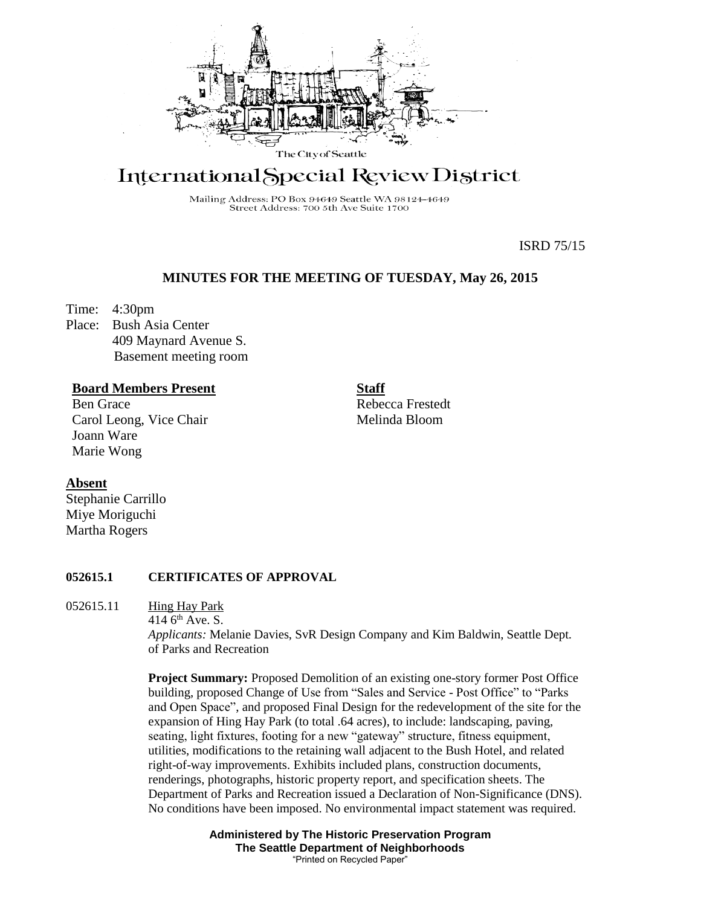

# International Special Review District

Mailing Address: PO Box 94649 Seattle WA 98124-4649 Street Address: 700 5th Ave Suite 1700

ISRD 75/15

# **MINUTES FOR THE MEETING OF TUESDAY, May 26, 2015**

Time: 4:30pm

Place: Bush Asia Center 409 Maynard Avenue S. Basement meeting room

# **Board Members Present**

Ben Grace Carol Leong, Vice Chair Joann Ware Marie Wong

**Staff**

Rebecca Frestedt Melinda Bloom

#### **Absent**

Stephanie Carrillo Miye Moriguchi Martha Rogers

### **052615.1 CERTIFICATES OF APPROVAL**

052615.11 Hing Hay Park

414  $6<sup>th</sup>$  Ave. S.

*Applicants:* Melanie Davies, SvR Design Company and Kim Baldwin, Seattle Dept. of Parks and Recreation

**Project Summary:** Proposed Demolition of an existing one-story former Post Office building, proposed Change of Use from "Sales and Service - Post Office" to "Parks and Open Space", and proposed Final Design for the redevelopment of the site for the expansion of Hing Hay Park (to total .64 acres), to include: landscaping, paving, seating, light fixtures, footing for a new "gateway" structure, fitness equipment, utilities, modifications to the retaining wall adjacent to the Bush Hotel, and related right-of-way improvements. Exhibits included plans, construction documents, renderings, photographs, historic property report, and specification sheets. The Department of Parks and Recreation issued a Declaration of Non-Significance (DNS). No conditions have been imposed. No environmental impact statement was required.

> **Administered by The Historic Preservation Program The Seattle Department of Neighborhoods** "Printed on Recycled Paper"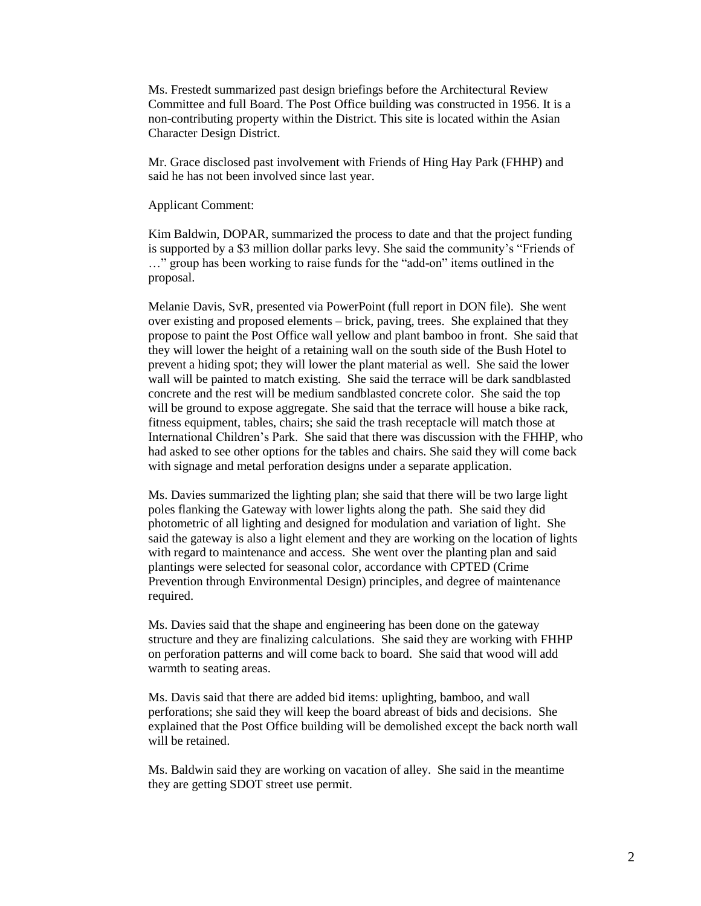Ms. Frestedt summarized past design briefings before the Architectural Review Committee and full Board. The Post Office building was constructed in 1956. It is a non-contributing property within the District. This site is located within the Asian Character Design District.

Mr. Grace disclosed past involvement with Friends of Hing Hay Park (FHHP) and said he has not been involved since last year.

Applicant Comment:

Kim Baldwin, DOPAR, summarized the process to date and that the project funding is supported by a \$3 million dollar parks levy. She said the community's "Friends of …" group has been working to raise funds for the "add-on" items outlined in the proposal.

Melanie Davis, SvR, presented via PowerPoint (full report in DON file). She went over existing and proposed elements – brick, paving, trees. She explained that they propose to paint the Post Office wall yellow and plant bamboo in front. She said that they will lower the height of a retaining wall on the south side of the Bush Hotel to prevent a hiding spot; they will lower the plant material as well. She said the lower wall will be painted to match existing. She said the terrace will be dark sandblasted concrete and the rest will be medium sandblasted concrete color. She said the top will be ground to expose aggregate. She said that the terrace will house a bike rack, fitness equipment, tables, chairs; she said the trash receptacle will match those at International Children's Park. She said that there was discussion with the FHHP, who had asked to see other options for the tables and chairs. She said they will come back with signage and metal perforation designs under a separate application.

Ms. Davies summarized the lighting plan; she said that there will be two large light poles flanking the Gateway with lower lights along the path. She said they did photometric of all lighting and designed for modulation and variation of light. She said the gateway is also a light element and they are working on the location of lights with regard to maintenance and access. She went over the planting plan and said plantings were selected for seasonal color, accordance with CPTED (Crime Prevention through Environmental Design) principles, and degree of maintenance required.

Ms. Davies said that the shape and engineering has been done on the gateway structure and they are finalizing calculations. She said they are working with FHHP on perforation patterns and will come back to board. She said that wood will add warmth to seating areas.

Ms. Davis said that there are added bid items: uplighting, bamboo, and wall perforations; she said they will keep the board abreast of bids and decisions. She explained that the Post Office building will be demolished except the back north wall will be retained.

Ms. Baldwin said they are working on vacation of alley. She said in the meantime they are getting SDOT street use permit.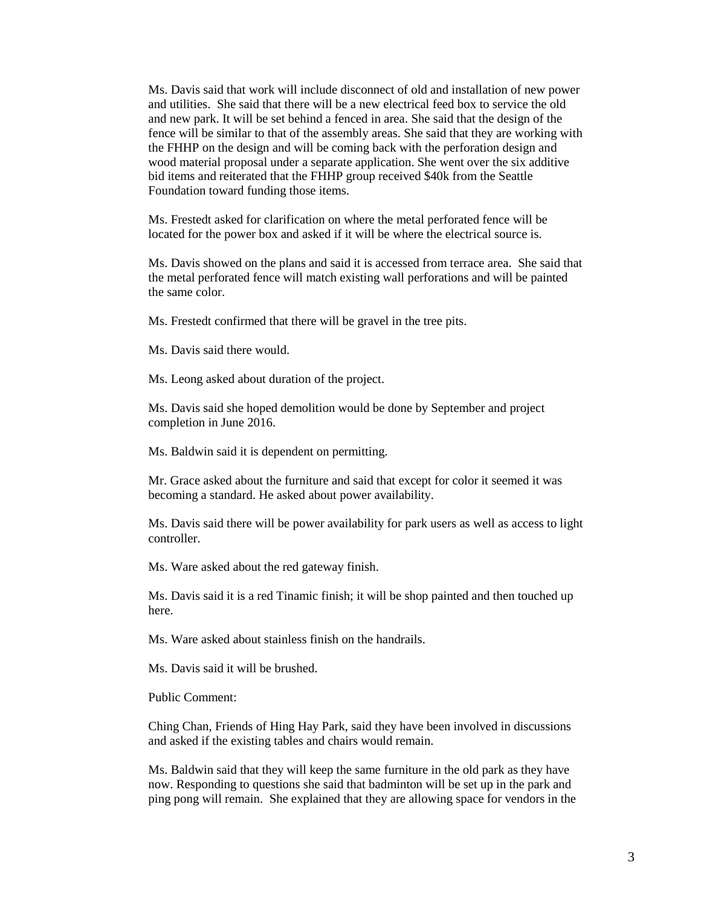Ms. Davis said that work will include disconnect of old and installation of new power and utilities. She said that there will be a new electrical feed box to service the old and new park. It will be set behind a fenced in area. She said that the design of the fence will be similar to that of the assembly areas. She said that they are working with the FHHP on the design and will be coming back with the perforation design and wood material proposal under a separate application. She went over the six additive bid items and reiterated that the FHHP group received \$40k from the Seattle Foundation toward funding those items.

Ms. Frestedt asked for clarification on where the metal perforated fence will be located for the power box and asked if it will be where the electrical source is.

Ms. Davis showed on the plans and said it is accessed from terrace area. She said that the metal perforated fence will match existing wall perforations and will be painted the same color.

Ms. Frestedt confirmed that there will be gravel in the tree pits.

Ms. Davis said there would.

Ms. Leong asked about duration of the project.

Ms. Davis said she hoped demolition would be done by September and project completion in June 2016.

Ms. Baldwin said it is dependent on permitting.

Mr. Grace asked about the furniture and said that except for color it seemed it was becoming a standard. He asked about power availability.

Ms. Davis said there will be power availability for park users as well as access to light controller.

Ms. Ware asked about the red gateway finish.

Ms. Davis said it is a red Tinamic finish; it will be shop painted and then touched up here.

Ms. Ware asked about stainless finish on the handrails.

Ms. Davis said it will be brushed.

Public Comment:

Ching Chan, Friends of Hing Hay Park, said they have been involved in discussions and asked if the existing tables and chairs would remain.

Ms. Baldwin said that they will keep the same furniture in the old park as they have now. Responding to questions she said that badminton will be set up in the park and ping pong will remain. She explained that they are allowing space for vendors in the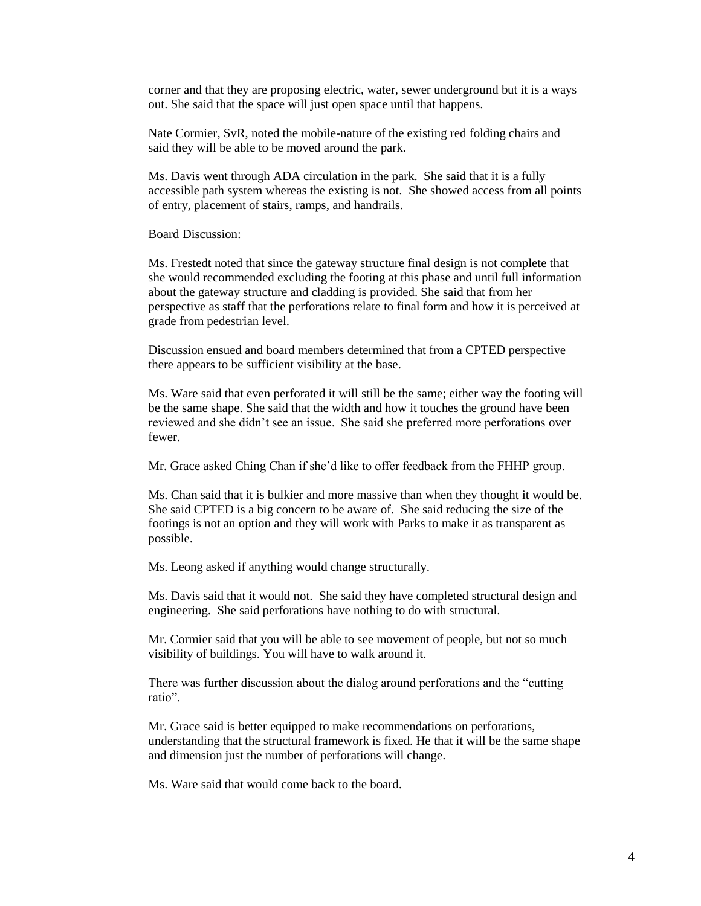corner and that they are proposing electric, water, sewer underground but it is a ways out. She said that the space will just open space until that happens.

Nate Cormier, SvR, noted the mobile-nature of the existing red folding chairs and said they will be able to be moved around the park.

Ms. Davis went through ADA circulation in the park. She said that it is a fully accessible path system whereas the existing is not. She showed access from all points of entry, placement of stairs, ramps, and handrails.

Board Discussion:

Ms. Frestedt noted that since the gateway structure final design is not complete that she would recommended excluding the footing at this phase and until full information about the gateway structure and cladding is provided. She said that from her perspective as staff that the perforations relate to final form and how it is perceived at grade from pedestrian level.

Discussion ensued and board members determined that from a CPTED perspective there appears to be sufficient visibility at the base.

Ms. Ware said that even perforated it will still be the same; either way the footing will be the same shape. She said that the width and how it touches the ground have been reviewed and she didn't see an issue. She said she preferred more perforations over fewer.

Mr. Grace asked Ching Chan if she'd like to offer feedback from the FHHP group.

Ms. Chan said that it is bulkier and more massive than when they thought it would be. She said CPTED is a big concern to be aware of. She said reducing the size of the footings is not an option and they will work with Parks to make it as transparent as possible.

Ms. Leong asked if anything would change structurally.

Ms. Davis said that it would not. She said they have completed structural design and engineering. She said perforations have nothing to do with structural.

Mr. Cormier said that you will be able to see movement of people, but not so much visibility of buildings. You will have to walk around it.

There was further discussion about the dialog around perforations and the "cutting ratio".

Mr. Grace said is better equipped to make recommendations on perforations, understanding that the structural framework is fixed. He that it will be the same shape and dimension just the number of perforations will change.

Ms. Ware said that would come back to the board.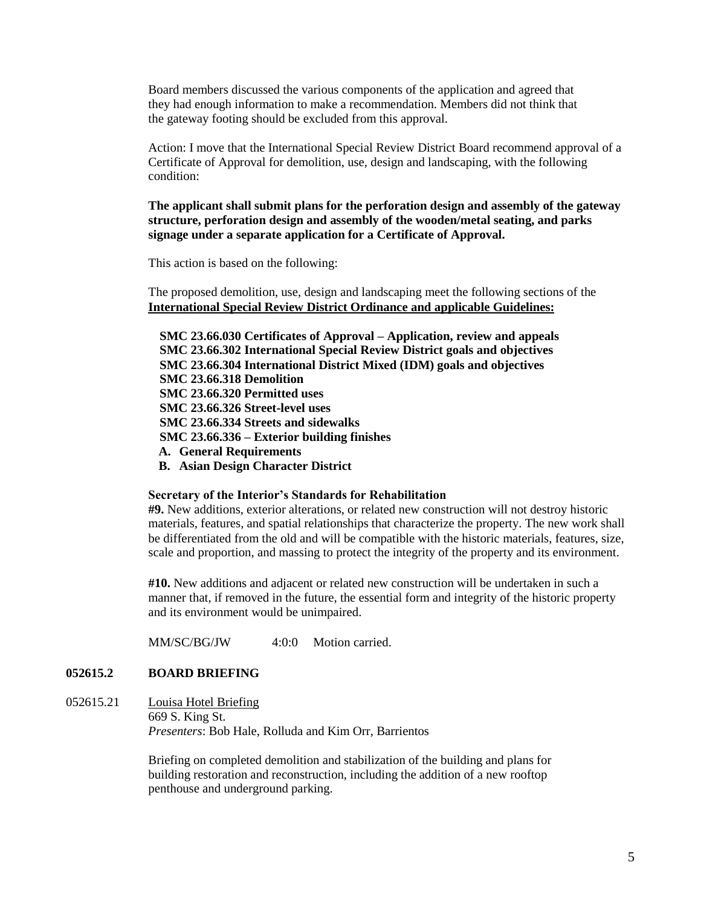Board members discussed the various components of the application and agreed that they had enough information to make a recommendation. Members did not think that the gateway footing should be excluded from this approval.

Action: I move that the International Special Review District Board recommend approval of a Certificate of Approval for demolition, use, design and landscaping, with the following condition:

**The applicant shall submit plans for the perforation design and assembly of the gateway structure, perforation design and assembly of the wooden/metal seating, and parks signage under a separate application for a Certificate of Approval.**

This action is based on the following:

The proposed demolition, use, design and landscaping meet the following sections of the **International Special Review District Ordinance and applicable Guidelines:**

**SMC 23.66.030 Certificates of Approval – Application, review and appeals SMC 23.66.302 International Special Review District goals and objectives SMC 23.66.304 International District Mixed (IDM) goals and objectives SMC 23.66.318 Demolition SMC 23.66.320 Permitted uses SMC 23.66.326 Street-level uses SMC 23.66.334 Streets and sidewalks SMC 23.66.336 – Exterior building finishes A. General Requirements**

**B. Asian Design Character District**

#### **Secretary of the Interior's Standards for Rehabilitation**

**#9.** New additions, exterior alterations, or related new construction will not destroy historic materials, features, and spatial relationships that characterize the property. The new work shall be differentiated from the old and will be compatible with the historic materials, features, size, scale and proportion, and massing to protect the integrity of the property and its environment.

**#10.** New additions and adjacent or related new construction will be undertaken in such a manner that, if removed in the future, the essential form and integrity of the historic property and its environment would be unimpaired.

MM/SC/BG/JW 4:0:0 Motion carried.

#### **052615.2 BOARD BRIEFING**

052615.21 Louisa Hotel Briefing 669 S. King St. *Presenters*: Bob Hale, Rolluda and Kim Orr, Barrientos

> Briefing on completed demolition and stabilization of the building and plans for building restoration and reconstruction, including the addition of a new rooftop penthouse and underground parking.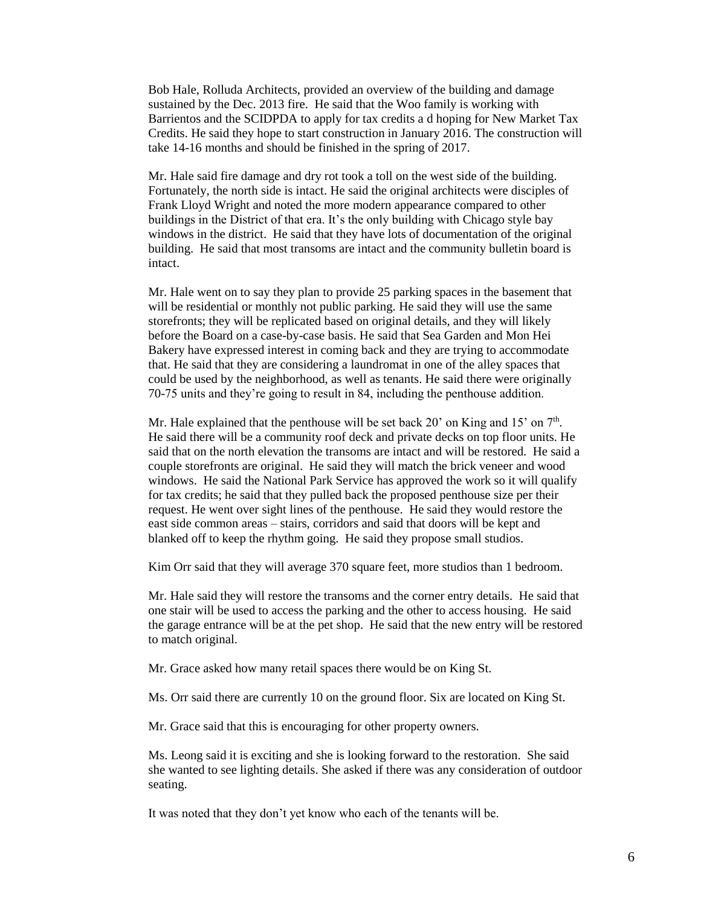Bob Hale, Rolluda Architects, provided an overview of the building and damage sustained by the Dec. 2013 fire. He said that the Woo family is working with Barrientos and the SCIDPDA to apply for tax credits a d hoping for New Market Tax Credits. He said they hope to start construction in January 2016. The construction will take 14-16 months and should be finished in the spring of 2017.

Mr. Hale said fire damage and dry rot took a toll on the west side of the building. Fortunately, the north side is intact. He said the original architects were disciples of Frank Lloyd Wright and noted the more modern appearance compared to other buildings in the District of that era. It's the only building with Chicago style bay windows in the district. He said that they have lots of documentation of the original building. He said that most transoms are intact and the community bulletin board is intact.

Mr. Hale went on to say they plan to provide 25 parking spaces in the basement that will be residential or monthly not public parking. He said they will use the same storefronts; they will be replicated based on original details, and they will likely before the Board on a case-by-case basis. He said that Sea Garden and Mon Hei Bakery have expressed interest in coming back and they are trying to accommodate that. He said that they are considering a laundromat in one of the alley spaces that could be used by the neighborhood, as well as tenants. He said there were originally 70-75 units and they're going to result in 84, including the penthouse addition.

Mr. Hale explained that the penthouse will be set back 20' on King and  $15'$  on  $7<sup>th</sup>$ . He said there will be a community roof deck and private decks on top floor units. He said that on the north elevation the transoms are intact and will be restored. He said a couple storefronts are original. He said they will match the brick veneer and wood windows. He said the National Park Service has approved the work so it will qualify for tax credits; he said that they pulled back the proposed penthouse size per their request. He went over sight lines of the penthouse. He said they would restore the east side common areas – stairs, corridors and said that doors will be kept and blanked off to keep the rhythm going. He said they propose small studios.

Kim Orr said that they will average 370 square feet, more studios than 1 bedroom.

Mr. Hale said they will restore the transoms and the corner entry details. He said that one stair will be used to access the parking and the other to access housing. He said the garage entrance will be at the pet shop. He said that the new entry will be restored to match original.

Mr. Grace asked how many retail spaces there would be on King St.

Ms. Orr said there are currently 10 on the ground floor. Six are located on King St.

Mr. Grace said that this is encouraging for other property owners.

Ms. Leong said it is exciting and she is looking forward to the restoration. She said she wanted to see lighting details. She asked if there was any consideration of outdoor seating.

It was noted that they don't yet know who each of the tenants will be.